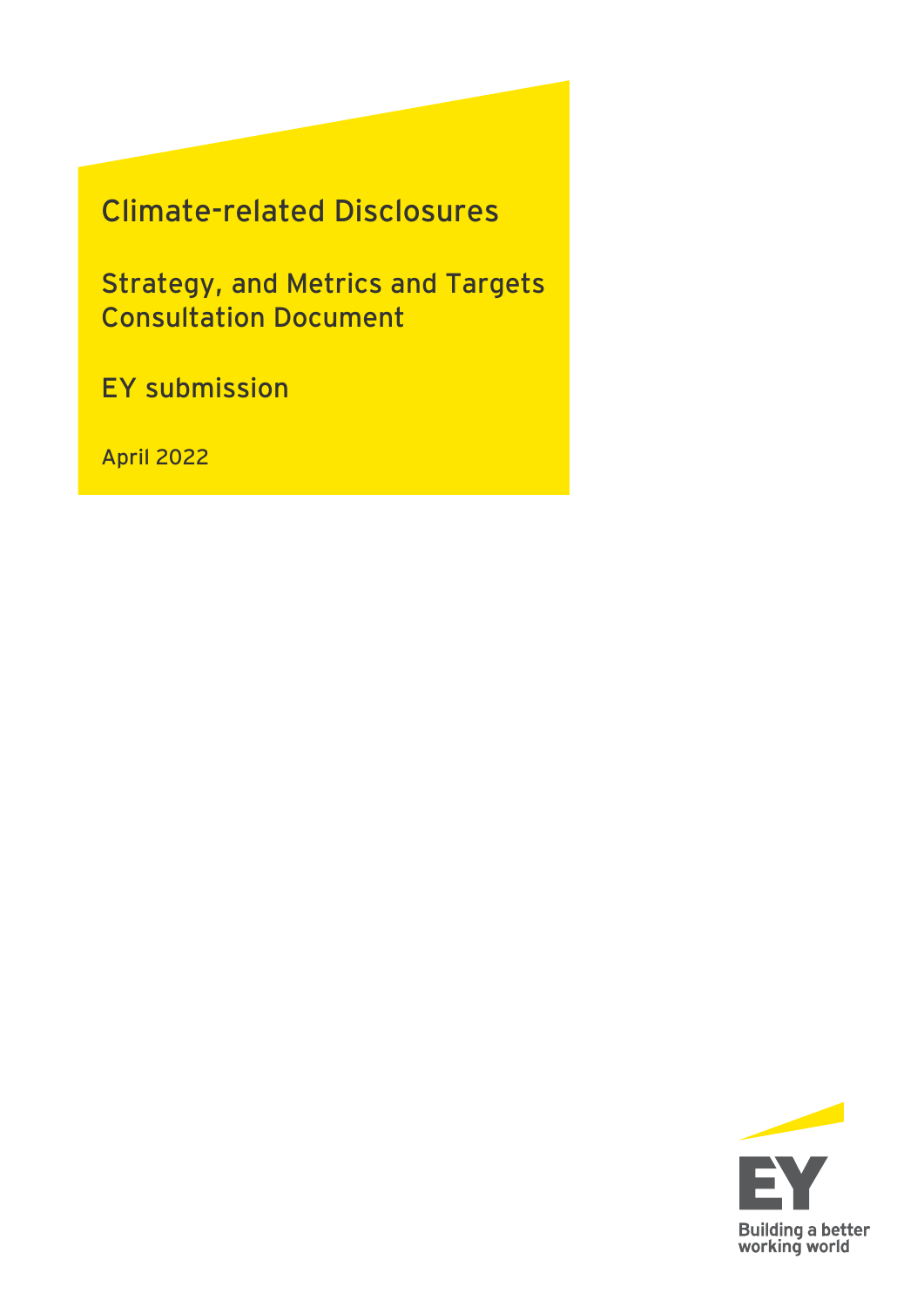# **Climate-related Disclosures**

**Strategy, and Metrics and Targets Consultation Document**

**EY submission** 

**April 2022**

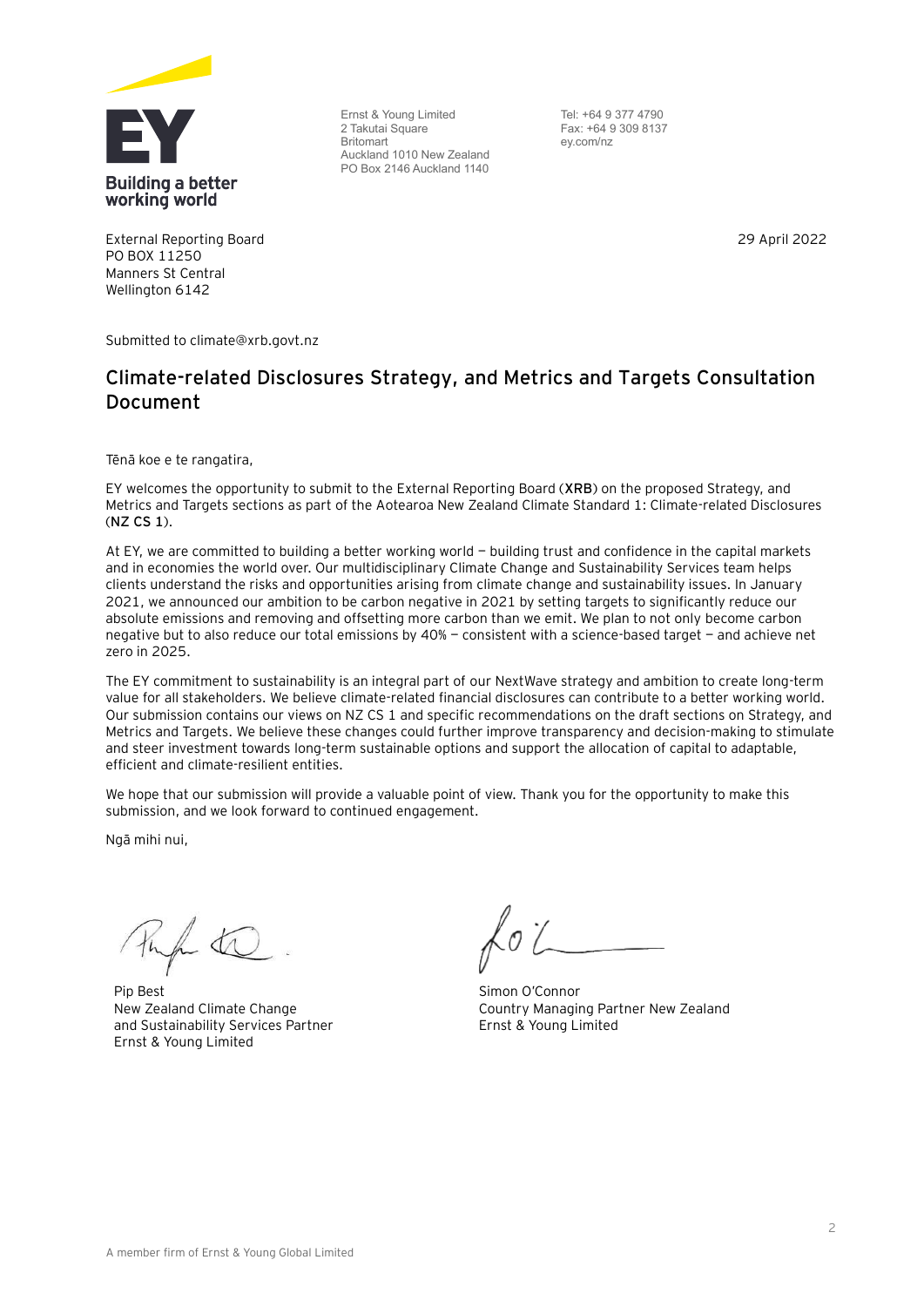

Ernst & Young Limited 2 Takutai Square Britomart Auckland 1010 New Zealand PO Box 2146 Auckland 1140

Tel: +64 9 377 4790 Fax: +64 9 309 8137 ey.com/nz

29 April 2022

External Reporting Board PO BOX 11250 Manners St Central Wellington 6142

Submitted to climate@xrb.govt.nz

#### **Climate-related Disclosures Strategy, and Metrics and Targets Consultation Document**

Tēnā koe e te rangatira,

EY welcomes the opportunity to submit to the External Reporting Board (**XRB**) on the proposed Strategy, and Metrics and Targets sections as part of the Aotearoa New Zealand Climate Standard 1: Climate-related Disclosures (**NZ CS 1**).

At EY, we are committed to building a better working world — building trust and confidence in the capital markets and in economies the world over. Our multidisciplinary Climate Change and Sustainability Services team helps clients understand the risks and opportunities arising from climate change and sustainability issues. In January 2021, we announced our ambition to be carbon negative in 2021 by setting targets to significantly reduce our absolute emissions and removing and offsetting more carbon than we emit. We plan to not only become carbon negative but to also reduce our total emissions by 40% — consistent with a science-based target — and achieve net zero in 2025.

The EY commitment to sustainability is an integral part of our NextWave strategy and ambition to create long-term value for all stakeholders. We believe climate-related financial disclosures can contribute to a better working world. Our submission contains our views on NZ CS 1 and specific recommendations on the draft sections on Strategy, and Metrics and Targets. We believe these changes could further improve transparency and decision-making to stimulate and steer investment towards long-term sustainable options and support the allocation of capital to adaptable, efficient and climate-resilient entities.

We hope that our submission will provide a valuable point of view. Thank you for the opportunity to make this submission, and we look forward to continued engagement.

Ngā mihi nui,

Pip Best New Zealand Climate Change and Sustainability Services Partner Ernst & Young Limited

Simon O'Connor Country Managing Partner New Zealand Ernst & Young Limited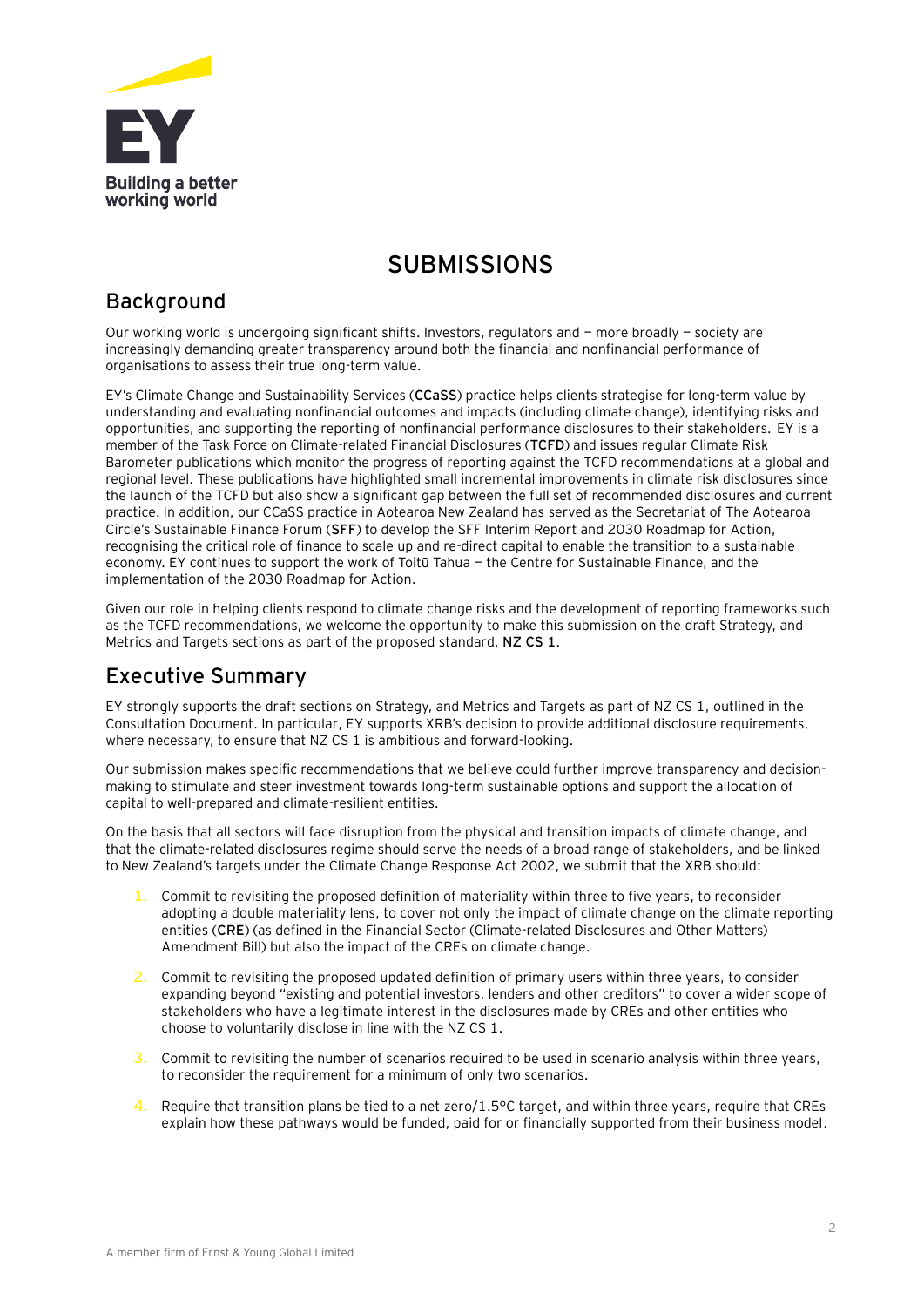

# **SUBMISSIONS**

#### **Background**

Our working world is undergoing significant shifts. Investors, regulators and — more broadly — society are increasingly demanding greater transparency around both the financial and nonfinancial performance of organisations to assess their true long-term value.

EY's Climate Change and Sustainability Services (**CCaSS**) practice helps clients strategise for long-term value by understanding and evaluating nonfinancial outcomes and impacts (including climate change), identifying risks and opportunities, and supporting the reporting of nonfinancial performance disclosures to their stakeholders. EY is a member of the Task Force on Climate-related Financial Disclosures (**TCFD**) and issues regular Climate Risk Barometer publications which monitor the progress of reporting against the TCFD recommendations at a global and regional level. These publications have highlighted small incremental improvements in climate risk disclosures since the launch of the TCFD but also show a significant gap between the full set of recommended disclosures and current practice. In addition, our CCaSS practice in Aotearoa New Zealand has served as the Secretariat of The Aotearoa Circle's Sustainable Finance Forum (**SFF**) to develop the SFF Interim Report and 2030 Roadmap for Action, recognising the critical role of finance to scale up and re-direct capital to enable the transition to a sustainable economy. EY continues to support the work of Toitū Tahua — the Centre for Sustainable Finance, and the implementation of the 2030 Roadmap for Action.

Given our role in helping clients respond to climate change risks and the development of reporting frameworks such as the TCFD recommendations, we welcome the opportunity to make this submission on the draft Strategy, and Metrics and Targets sections as part of the proposed standard, **NZ CS 1**.

#### **Executive Summary**

EY strongly supports the draft sections on Strategy, and Metrics and Targets as part of NZ CS 1, outlined in the Consultation Document. In particular, EY supports XRB's decision to provide additional disclosure requirements, where necessary, to ensure that NZ CS 1 is ambitious and forward-looking.

Our submission makes specific recommendations that we believe could further improve transparency and decisionmaking to stimulate and steer investment towards long-term sustainable options and support the allocation of capital to well-prepared and climate-resilient entities.

On the basis that all sectors will face disruption from the physical and transition impacts of climate change, and that the climate-related disclosures regime should serve the needs of a broad range of stakeholders, and be linked to New Zealand's targets under the Climate Change Response Act 2002, we submit that the XRB should:

- **1.** Commit to revisiting the proposed definition of materiality within three to five years, to reconsider adopting a double materiality lens, to cover not only the impact of climate change on the climate reporting entities (**CRE**) (as defined in the Financial Sector (Climate-related Disclosures and Other Matters) Amendment Bill) but also the impact of the CREs on climate change.
- **2.** Commit to revisiting the proposed updated definition of primary users within three years, to consider expanding beyond "existing and potential investors, lenders and other creditors" to cover a wider scope of stakeholders who have a legitimate interest in the disclosures made by CREs and other entities who choose to voluntarily disclose in line with the NZ CS 1.
- **3.** Commit to revisiting the number of scenarios required to be used in scenario analysis within three years, to reconsider the requirement for a minimum of only two scenarios.
- **4.** Require that transition plans be tied to a net zero/1.5°C target, and within three years, require that CREs explain how these pathways would be funded, paid for or financially supported from their business model.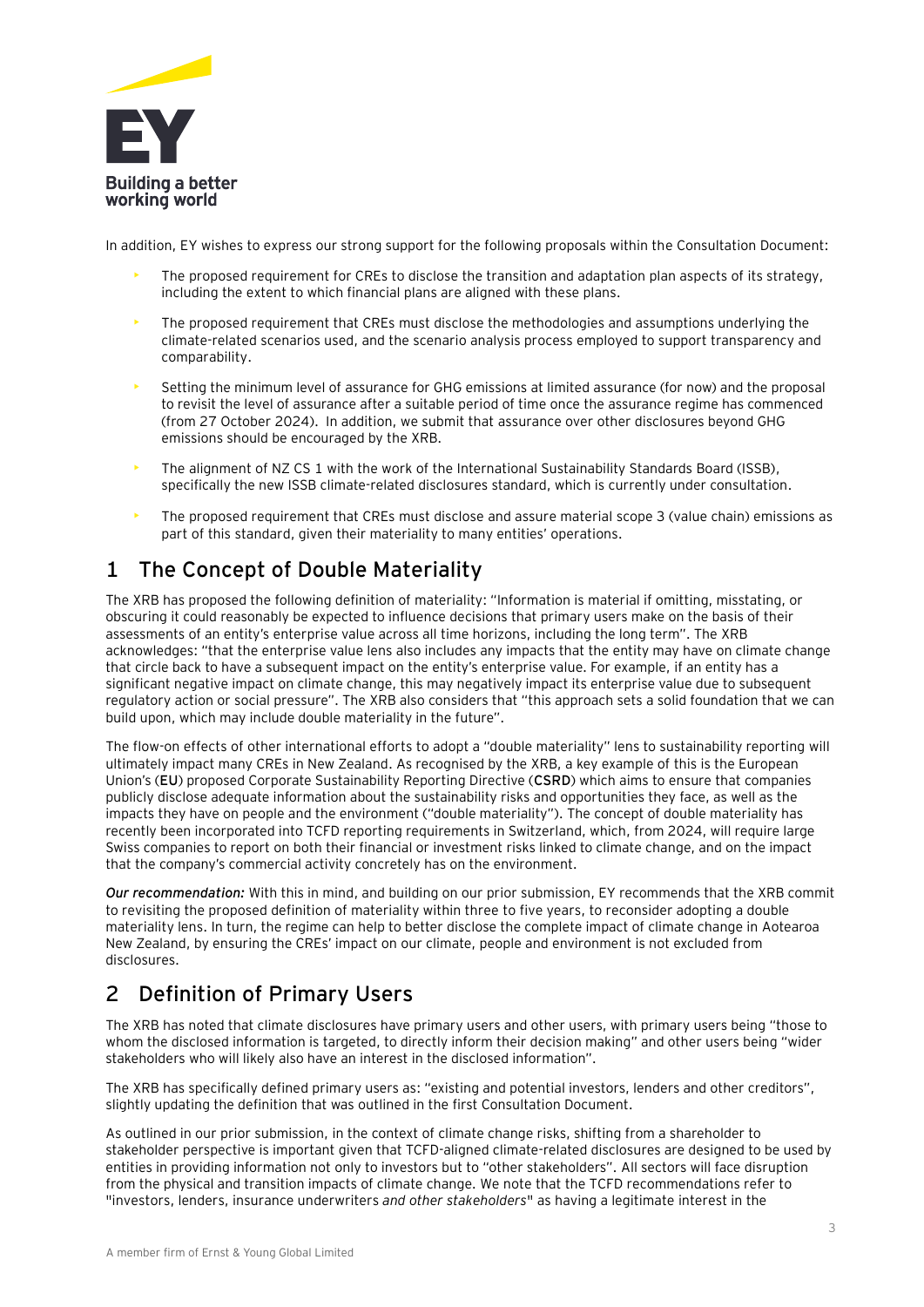

In addition, EY wishes to express our strong support for the following proposals within the Consultation Document:

- The proposed requirement for CREs to disclose the transition and adaptation plan aspects of its strategy, including the extent to which financial plans are aligned with these plans.
- The proposed requirement that CREs must disclose the methodologies and assumptions underlying the climate-related scenarios used, and the scenario analysis process employed to support transparency and comparability.
- Setting the minimum level of assurance for GHG emissions at limited assurance (for now) and the proposal to revisit the level of assurance after a suitable period of time once the assurance regime has commenced (from 27 October 2024). In addition, we submit that assurance over other disclosures beyond GHG emissions should be encouraged by the XRB.
- The alignment of NZ CS 1 with the work of the International Sustainability Standards Board (ISSB), specifically the new ISSB climate-related disclosures standard, which is currently under consultation.
- The proposed requirement that CREs must disclose and assure material scope 3 (value chain) emissions as part of this standard, given their materiality to many entities' operations.

## **1 The Concept of Double Materiality**

The XRB has proposed the following definition of materiality: "Information is material if omitting, misstating, or obscuring it could reasonably be expected to influence decisions that primary users make on the basis of their assessments of an entity's enterprise value across all time horizons, including the long term". The XRB acknowledges: "that the enterprise value lens also includes any impacts that the entity may have on climate change that circle back to have a subsequent impact on the entity's enterprise value. For example, if an entity has a significant negative impact on climate change, this may negatively impact its enterprise value due to subsequent regulatory action or social pressure". The XRB also considers that "this approach sets a solid foundation that we can build upon, which may include double materiality in the future".

The flow-on effects of other international efforts to adopt a "double materiality" lens to sustainability reporting will ultimately impact many CREs in New Zealand. As recognised by the XRB, a key example of this is the European Union's (**EU**) proposed Corporate Sustainability Reporting Directive (**CSRD**) which aims to ensure that companies publicly disclose adequate information about the sustainability risks and opportunities they face, as well as the impacts they have on people and the environment ("double materiality"). The concept of double materiality has recently been incorporated into TCFD reporting requirements in Switzerland, which, from 2024, will require large Swiss companies to report on both their financial or investment risks linked to climate change, and on the impact that the company's commercial activity concretely has on the environment.

*Our recommendation:* With this in mind, and building on our prior submission, EY recommends that the XRB commit to revisiting the proposed definition of materiality within three to five years, to reconsider adopting a double materiality lens. In turn, the regime can help to better disclose the complete impact of climate change in Aotearoa New Zealand, by ensuring the CREs' impact on our climate, people and environment is not excluded from disclosures.

# **2 Definition of Primary Users**

The XRB has noted that climate disclosures have primary users and other users, with primary users being "those to whom the disclosed information is targeted, to directly inform their decision making" and other users being "wider stakeholders who will likely also have an interest in the disclosed information".

The XRB has specifically defined primary users as: "existing and potential investors, lenders and other creditors", slightly updating the definition that was outlined in the first Consultation Document.

As outlined in our prior submission, in the context of climate change risks, shifting from a shareholder to stakeholder perspective is important given that TCFD-aligned climate-related disclosures are designed to be used by entities in providing information not only to investors but to "other stakeholders". All sectors will face disruption from the physical and transition impacts of climate change. We note that the TCFD recommendations refer to "investors, lenders, insurance underwriters *and other stakeholders*" as having a legitimate interest in the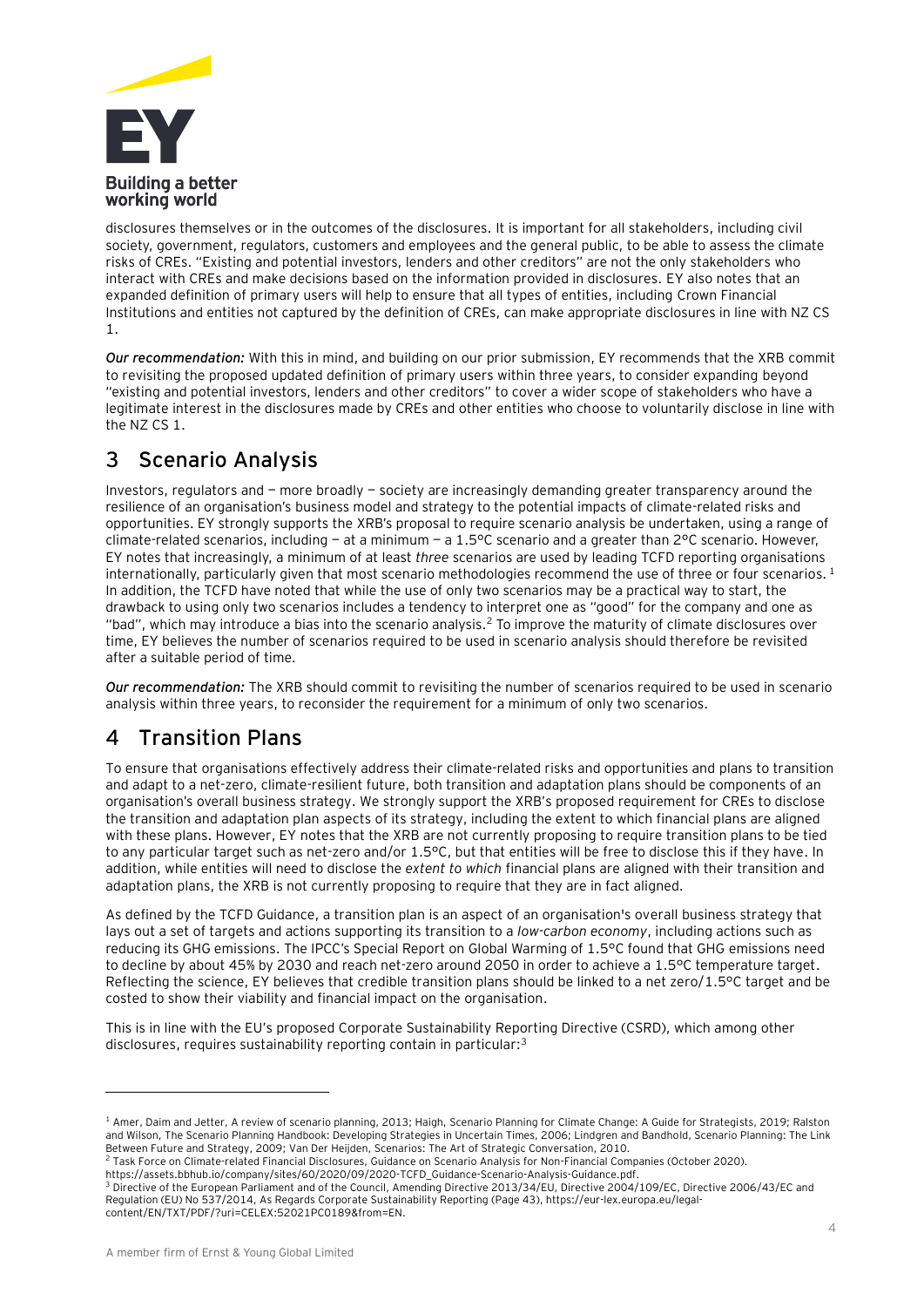

disclosures themselves or in the outcomes of the disclosures. It is important for all stakeholders, including civil society, government, regulators, customers and employees and the general public, to be able to assess the climate risks of CREs. "Existing and potential investors, lenders and other creditors" are not the only stakeholders who interact with CREs and make decisions based on the information provided in disclosures. EY also notes that an expanded definition of primary users will help to ensure that all types of entities, including Crown Financial Institutions and entities not captured by the definition of CREs, can make appropriate disclosures in line with NZ CS 1.

*Our recommendation:* With this in mind, and building on our prior submission, EY recommends that the XRB commit to revisiting the proposed updated definition of primary users within three years, to consider expanding beyond "existing and potential investors, lenders and other creditors" to cover a wider scope of stakeholders who have a legitimate interest in the disclosures made by CREs and other entities who choose to voluntarily disclose in line with the NZ CS 1.

# **3 Scenario Analysis**

Investors, regulators and — more broadly — society are increasingly demanding greater transparency around the resilience of an organisation's business model and strategy to the potential impacts of climate-related risks and opportunities. EY strongly supports the XRB's proposal to require scenario analysis be undertaken, using a range of climate-related scenarios, including — at a minimum — a 1.5°C scenario and a greater than 2°C scenario. However, EY notes that increasingly, a minimum of at least *three* scenarios are used by leading TCFD reporting organisations internationally, particularly given that most scenario methodologies recommend the use of three or four scenarios. <sup>1</sup> In addition, the TCFD have noted that while the use of only two scenarios may be a practical way to start, the drawback to using only two scenarios includes a tendency to interpret one as "good" for the company and one as "bad", which may introduce a bias into the scenario analysis.<sup>2</sup> To improve the maturity of climate disclosures over time, EY believes the number of scenarios required to be used in scenario analysis should therefore be revisited after a suitable period of time.

*Our recommendation:* The XRB should commit to revisiting the number of scenarios required to be used in scenario analysis within three years, to reconsider the requirement for a minimum of only two scenarios.

## **4 Transition Plans**

To ensure that organisations effectively address their climate-related risks and opportunities and plans to transition and adapt to a net-zero, climate-resilient future, both transition and adaptation plans should be components of an organisation's overall business strategy. We strongly support the XRB's proposed requirement for CREs to disclose the transition and adaptation plan aspects of its strategy, including the extent to which financial plans are aligned with these plans. However, EY notes that the XRB are not currently proposing to require transition plans to be tied to any particular target such as net-zero and/or 1.5°C, but that entities will be free to disclose this if they have. In addition, while entities will need to disclose the *extent to which* financial plans are aligned with their transition and adaptation plans, the XRB is not currently proposing to require that they are in fact aligned.

As defined by the TCFD Guidance, a transition plan is an aspect of an organisation's overall business strategy that lays out a set of targets and actions supporting its transition to a *low-carbon economy*, including actions such as reducing its GHG emissions. The IPCC's Special Report on Global Warming of 1.5°C found that GHG emissions need to decline by about 45% by 2030 and reach net-zero around 2050 in order to achieve a 1.5°C temperature target. Reflecting the science, EY believes that credible transition plans should be linked to a net zero/1.5°C target and be costed to show their viability and financial impact on the organisation.

This is in line with the EU's proposed Corporate Sustainability Reporting Directive (CSRD), which among other disclosures, requires sustainability reporting contain in particular:<sup>3</sup>

https://assets.bbhub.io/company/sites/60/2020/09/2020-TCFD\_Guidance-Scenario-Analysis-Guidance.pdf.

<sup>3</sup> Directive of the European Parliament and of the Council, Amending Directive 2013/34/EU, Directive 2004/109/EC, Directive 2006/43/EC and Regulation (EU) No 537/2014, As Regards Corporate Sustainability Reporting (Page 43), https://eur-lex.europa.eu/legalcontent/EN/TXT/PDF/?uri=CELEX:52021PC0189&from=EN.

<sup>&</sup>lt;sup>1</sup> Amer, Daim and Jetter, A review of scenario planning, 2013; Haigh, Scenario Planning for Climate Change: A Guide for Strategists, 2019; Ralston and Wilson, The Scenario Planning Handbook: Developing Strategies in Uncertain Times, 2006; Lindgren and Bandhold, Scenario Planning: The Link Between Future and Strategy, 2009; Van Der Heijden, Scenarios: The Art of Strategic Conversation, 2010.

<sup>2</sup> Task Force on Climate-related Financial Disclosures, Guidance on Scenario Analysis for Non-Financial Companies (October 2020).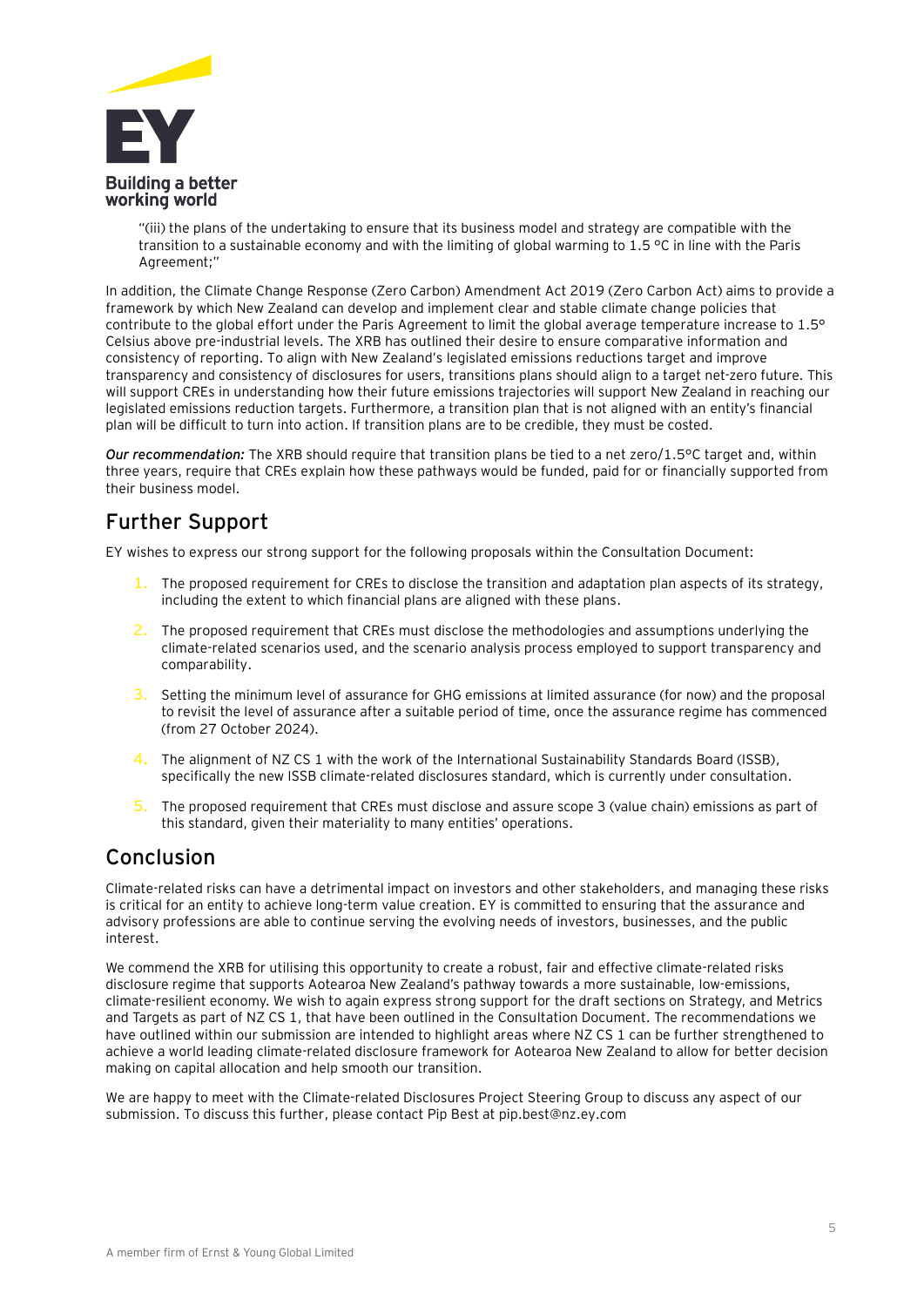

"(iii) the plans of the undertaking to ensure that its business model and strategy are compatible with the transition to a sustainable economy and with the limiting of global warming to 1.5 °C in line with the Paris Agreement;"

In addition, the Climate Change Response (Zero Carbon) Amendment Act 2019 (Zero Carbon Act) aims to provide a framework by which New Zealand can develop and implement clear and stable climate change policies that contribute to the global effort under the Paris Agreement to limit the global average temperature increase to 1.5° Celsius above pre-industrial levels. The XRB has outlined their desire to ensure comparative information and consistency of reporting. To align with New Zealand's legislated emissions reductions target and improve transparency and consistency of disclosures for users, transitions plans should align to a target net-zero future. This will support CREs in understanding how their future emissions trajectories will support New Zealand in reaching our legislated emissions reduction targets. Furthermore, a transition plan that is not aligned with an entity's financial plan will be difficult to turn into action. If transition plans are to be credible, they must be costed.

*Our recommendation:* The XRB should require that transition plans be tied to a net zero/1.5°C target and, within three years, require that CREs explain how these pathways would be funded, paid for or financially supported from their business model.

# **Further Support**

EY wishes to express our strong support for the following proposals within the Consultation Document:

- **1.** The proposed requirement for CREs to disclose the transition and adaptation plan aspects of its strategy, including the extent to which financial plans are aligned with these plans.
- **2.** The proposed requirement that CREs must disclose the methodologies and assumptions underlying the climate-related scenarios used, and the scenario analysis process employed to support transparency and comparability.
- **3.** Setting the minimum level of assurance for GHG emissions at limited assurance (for now) and the proposal to revisit the level of assurance after a suitable period of time, once the assurance regime has commenced (from 27 October 2024).
- **4.** The alignment of NZ CS 1 with the work of the International Sustainability Standards Board (ISSB), specifically the new ISSB climate-related disclosures standard, which is currently under consultation.
- **5.** The proposed requirement that CREs must disclose and assure scope 3 (value chain) emissions as part of this standard, given their materiality to many entities' operations.

## **Conclusion**

Climate-related risks can have a detrimental impact on investors and other stakeholders, and managing these risks is critical for an entity to achieve long-term value creation. EY is committed to ensuring that the assurance and advisory professions are able to continue serving the evolving needs of investors, businesses, and the public interest.

We commend the XRB for utilising this opportunity to create a robust, fair and effective climate-related risks disclosure regime that supports Aotearoa New Zealand's pathway towards a more sustainable, low-emissions, climate-resilient economy. We wish to again express strong support for the draft sections on Strategy, and Metrics and Targets as part of NZ CS 1, that have been outlined in the Consultation Document. The recommendations we have outlined within our submission are intended to highlight areas where NZ CS 1 can be further strengthened to achieve a world leading climate-related disclosure framework for Aotearoa New Zealand to allow for better decision making on capital allocation and help smooth our transition.

We are happy to meet with the Climate-related Disclosures Project Steering Group to discuss any aspect of our submission. To discuss this further, please contact Pip Best at pip.best@nz.ey.com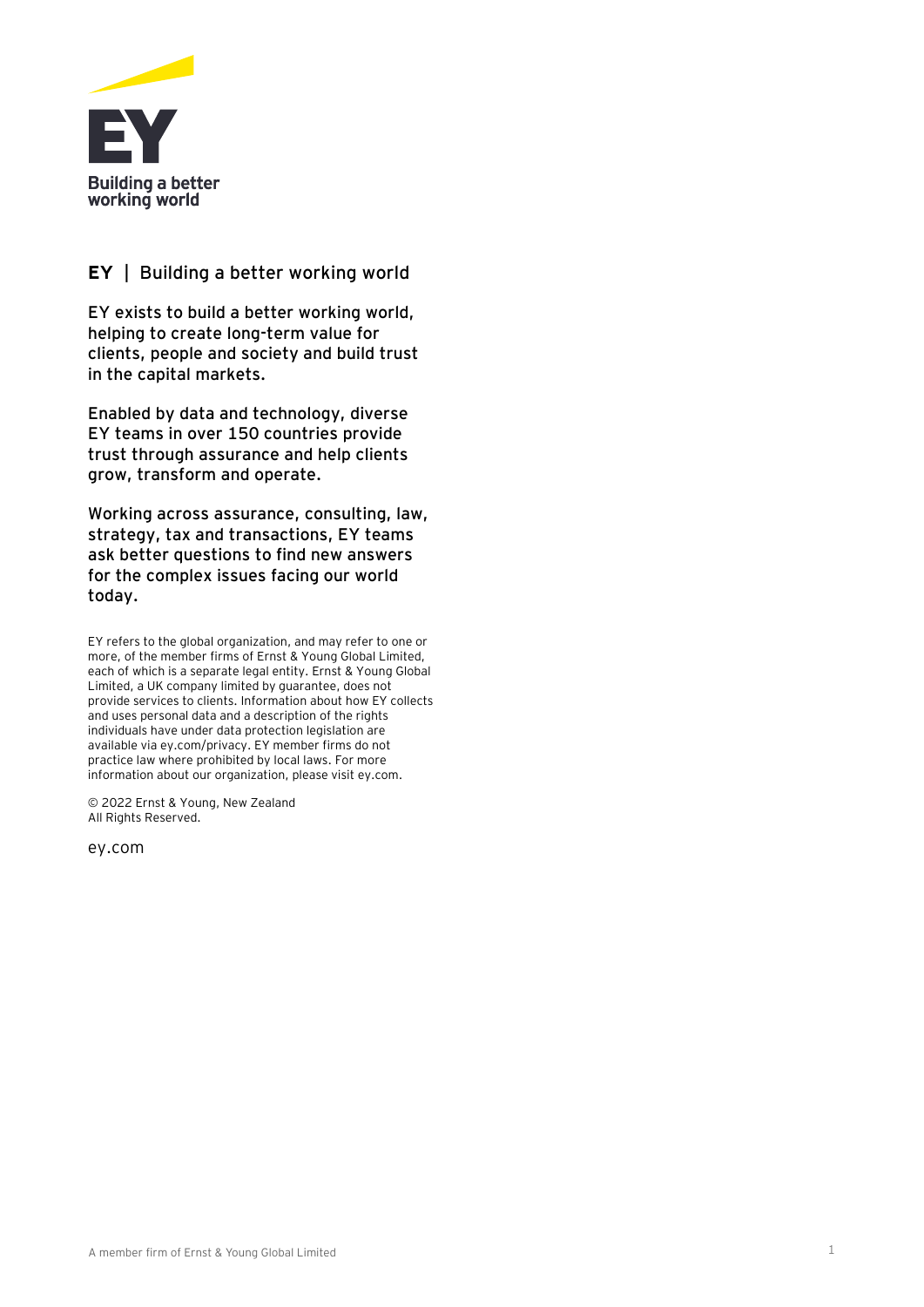

#### **EY** | Building a better working world

EY exists to build a better working world, helping to create long-term value for clients, people and society and build trust in the capital markets.

Enabled by data and technology, diverse EY teams in over 150 countries provide trust through assurance and help clients grow, transform and operate.

Working across assurance, consulting, law, strategy, tax and transactions, EY teams ask better questions to find new answers for the complex issues facing our world today.

EY refers to the global organization, and may refer to one or more, of the member firms of Ernst & Young Global Limited, each of which is a separate legal entity. Ernst & Young Global Limited, a UK company limited by guarantee, does not provide services to clients. Information about how EY collects and uses personal data and a description of the rights individuals have under data protection legislation are available via ey.com/privacy. EY member firms do not practice law where prohibited by local laws. For more information about our organization, please visit ey.com.

© 2022 Ernst & Young, New Zealand All Rights Reserved.

ey.com